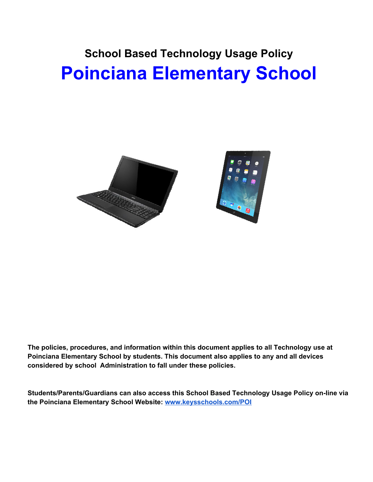# **School Based Technology Usage Policy Poinciana Elementary School**



**The policies, procedures, and information within this document applies to all Technology use at Poinciana Elementary School by students. This document also applies to any and all devices considered by school Administration to fall under these policies.**

**Students/Parents/Guardians can also access this School Based Technology Usage Policy on-line via the Poinciana Elementary School Website: [www.keysschools.com/POI](http://www.keysschools.com/POI)**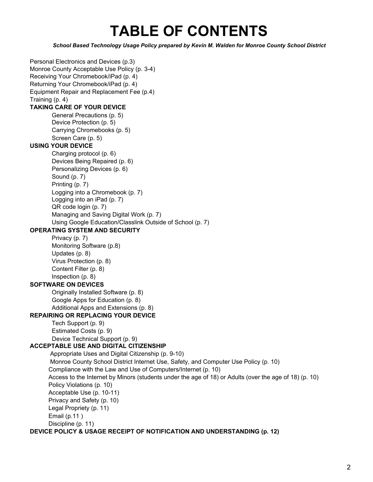# **TABLE OF CONTENTS**

*School Based Technology Usage Policy prepared by Kevin M. Walden for Monroe County School District*

Personal Electronics and Devices (p.3) Monroe County Acceptable Use Policy (p. 3-4) Receiving Your Chromebook/iPad (p. 4) Returning Your Chromebook/iPad (p. 4) Equipment Repair and Replacement Fee (p.4) Training (p. 4) **TAKING CARE OF YOUR DEVICE** General Precautions (p. 5) Device Protection (p. 5) Carrying Chromebooks (p. 5) Screen Care (p. 5) **USING YOUR DEVICE** Charging protocol (p. 6) Devices Being Repaired (p. 6) Personalizing Devices (p. 6) Sound (p. 7) Printing (p. 7) Logging into a Chromebook (p. 7) Logging into an iPad (p. 7) QR code login (p. 7) Managing and Saving Digital Work (p. 7) Using Google Education/Classlink Outside of School (p. 7) **OPERATING SYSTEM AND SECURITY** Privacy (p. 7) Monitoring Software (p.8) Updates (p. 8) Virus Protection (p. 8) Content Filter (p. 8) Inspection (p. 8) **SOFTWARE ON DEVICES** Originally Installed Software (p. 8) Google Apps for Education (p. 8) Additional Apps and Extensions (p. 8) **REPAIRING OR REPLACING YOUR DEVICE** Tech Support (p. 9) Estimated Costs (p. 9) Device Technical Support (p. 9) **ACCEPTABLE USE AND DIGITAL CITIZENSHIP** Appropriate Uses and Digital Citizenship (p. 9-10) Monroe County School District Internet Use, Safety, and Computer Use Policy (p. 10) Compliance with the Law and Use of Computers/Internet (p. 10) Access to the Internet by Minors (students under the age of 18) or Adults (over the age of 18) (p. 10) Policy Violations (p. 10) Acceptable Use (p. 10-11) Privacy and Safety (p. 10) Legal Propriety (p. 11) Email (p.11 ) Discipline (p. 11) **DEVICE POLICY & USAGE RECEIPT OF NOTIFICATION AND UNDERSTANDING (p. 12)**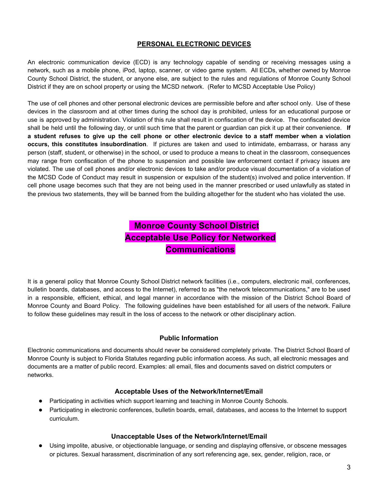# **PERSONAL ELECTRONIC DEVICES**

An electronic communication device (ECD) is any technology capable of sending or receiving messages using a network, such as a mobile phone, iPod, laptop, scanner, or video game system. All ECDs, whether owned by Monroe County School District, the student, or anyone else, are subject to the rules and regulations of Monroe County School District if they are on school property or using the MCSD network. (Refer to MCSD Acceptable Use Policy)

The use of cell phones and other personal electronic devices are permissible before and after school only. Use of these devices in the classroom and at other times during the school day is prohibited, unless for an educational purpose or use is approved by administration. Violation of this rule shall result in confiscation of the device. The confiscated device shall be held until the following day, or until such time that the parent or guardian can pick it up at their convenience. **If** a student refuses to give up the cell phone or other electronic device to a staff member when a violation **occurs, this constitutes insubordination**. If pictures are taken and used to intimidate, embarrass, or harass any person (staff, student, or otherwise) in the school, or used to produce a means to cheat in the classroom, consequences may range from confiscation of the phone to suspension and possible law enforcement contact if privacy issues are violated. The use of cell phones and/or electronic devices to take and/or produce visual documentation of a violation of the MCSD Code of Conduct may result in suspension or expulsion of the student(s) involved and police intervention. If cell phone usage becomes such that they are not being used in the manner prescribed or used unlawfully as stated in the previous two statements, they will be banned from the building altogether for the student who has violated the use.

# **Monroe County School District Acceptable Use Policy for Networked Communications**

It is a general policy that Monroe County School District network facilities (i.e., computers, electronic mail, conferences, bulletin boards, databases, and access to the Internet), referred to as "the network telecommunications," are to be used in a responsible, efficient, ethical, and legal manner in accordance with the mission of the District School Board of Monroe County and Board Policy. The following guidelines have been established for all users of the network. Failure to follow these guidelines may result in the loss of access to the network or other disciplinary action.

# **Public Information**

Electronic communications and documents should never be considered completely private. The District School Board of Monroe County is subject to Florida Statutes regarding public information access. As such, all electronic messages and documents are a matter of public record. Examples: all email, files and documents saved on district computers or networks.

#### **Acceptable Uses of the Network/Internet/Email**

- Participating in activities which support learning and teaching in Monroe County Schools.
- Participating in electronic conferences, bulletin boards, email, databases, and access to the Internet to support curriculum.

# **Unacceptable Uses of the Network/Internet/Email**

● Using impolite, abusive, or objectionable language, or sending and displaying offensive, or obscene messages or pictures. Sexual harassment, discrimination of any sort referencing age, sex, gender, religion, race, or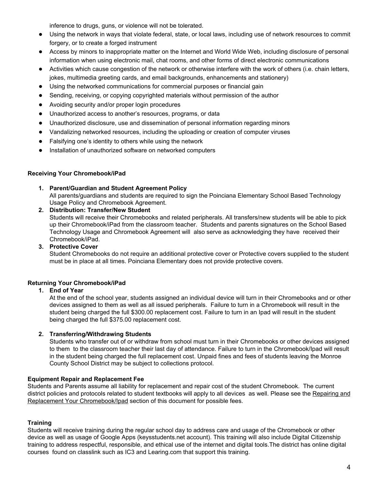inference to drugs, guns, or violence will not be tolerated.

- Using the network in ways that violate federal, state, or local laws, including use of network resources to commit forgery, or to create a forged instrument
- Access by minors to inappropriate matter on the Internet and World Wide Web, including disclosure of personal information when using electronic mail, chat rooms, and other forms of direct electronic communications
- Activities which cause congestion of the network or otherwise interfere with the work of others (i.e. chain letters, jokes, multimedia greeting cards, and email backgrounds, enhancements and stationery)
- Using the networked communications for commercial purposes or financial gain
- Sending, receiving, or copying copyrighted materials without permission of the author
- Avoiding security and/or proper login procedures
- Unauthorized access to another's resources, programs, or data
- Unauthorized disclosure, use and dissemination of personal information regarding minors
- Vandalizing networked resources, including the uploading or creation of computer viruses
- Falsifying one's identity to others while using the network
- Installation of unauthorized software on networked computers

# **Receiving Your Chromebook/iPad**

# **1. Parent/Guardian and Student Agreement Policy**

All parents/guardians and students are required to sign the Poinciana Elementary School Based Technology Usage Policy and Chromebook Agreement.

#### **2. Distribution: Transfer/New Student**

Students will receive their Chromebooks and related peripherals. All transfers/new students will be able to pick up their Chromebook/iPad from the classroom teacher. Students and parents signatures on the School Based Technology Usage and Chromebook Agreement will also serve as acknowledging they have received their Chromebook/iPad.

#### **3. Protective Cover**

Student Chromebooks do not require an additional protective cover or Protective covers supplied to the student must be in place at all times. Poinciana Elementary does not provide protective covers.

# **Returning Your Chromebook/iPad**

# **1. End of Year**

At the end of the school year, students assigned an individual device will turn in their Chromebooks and or other devices assigned to them as well as all issued peripherals. Failure to turn in a Chromebook will result in the student being charged the full \$300.00 replacement cost. Failure to turn in an Ipad will result in the student being charged the full \$375.00 replacement cost.

# **2. Transferring/Withdrawing Students**

Students who transfer out of or withdraw from school must turn in their Chromebooks or other devices assigned to them to the classroom teacher their last day of attendance. Failure to turn in the Chromebook/Ipad will result in the student being charged the full replacement cost. Unpaid fines and fees of students leaving the Monroe County School District may be subject to collections protocol.

# **Equipment Repair and Replacement Fee**

Students and Parents assume all liability for replacement and repair cost of the student Chromebook. The current district policies and protocols related to student textbooks will apply to all devices as well. Please see the Repairing and Replacement Your Chromebook/Ipad section of this document for possible fees.

# **Training**

Students will receive training during the regular school day to address care and usage of the Chromebook or other device as well as usage of Google Apps (keysstudents.net account). This training will also include Digital Citizenship training to address respectful, responsible, and ethical use of the internet and digital tools.The district has online digital courses found on classlink such as IC3 and Learing.com that support this training.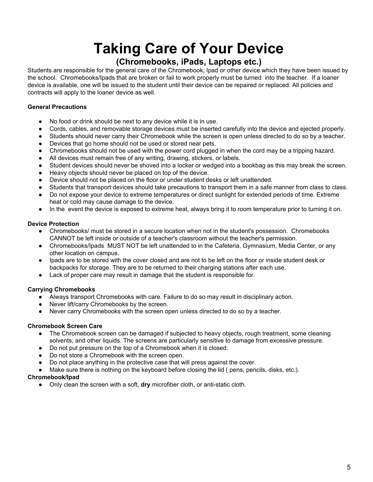# **Taking Care of Your Device**

# **(Chromebooks, iPads, Laptops etc.)**

Students are responsible for the general care of the Chromebook, Ipad or other device which they have been issued by the school. Chromebooks/Ipads that are broken or fail to work properly must be turned into the teacher. If a loaner device is available, one will be issued to the student until their device can be repaired or replaced. All policies and contracts will apply to the loaner device as well.

# **General Precautions**

- No food or drink should be next to any device while it is in use.
- Cords, cables, and removable storage devices must be inserted carefully into the device and ejected properly.
- Students should never carry their Chromebook while the screen is open unless directed to do so by a teacher.
- Devices that go home should not be used or stored near pets.
- Chromebooks should not be used with the power cord plugged in when the cord may be a tripping hazard.
- All devices must remain free of any writing, drawing, stickers, or labels.
- Student devices should never be shoved into a locker or wedged into a bookbag as this may break the screen.
- Heavy objects should never be placed on top of the device.
- Device should not be placed on the floor or under student desks or left unattended.
- Students that transport devices should take precautions to transport them in a safe manner from class to class.
- Do not expose your device to extreme temperatures or direct sunlight for extended periods of time. Extreme heat or cold may cause damage to the device.
- In the event the device is exposed to extreme heat, always bring it to room temperature prior to turning it on.

# **Device Protection**

- Chromebooks/ must be stored in a secure location when not in the student's possession. Chromebooks CANNOT be left inside or outside of a teacher's classroom without the teacher's permission.
- Chromebooks/Ipads MUST NOT be left unattended to in the Cafeteria, Gymnasium, Media Center, or any other location on campus.
- lpads are to be stored with the cover closed and are not to be left on the floor or inside student desk or backpacks for storage. They are to be returned to their charging stations after each use.
- Lack of proper care may result in damage that the student is responsible for.

# **Carrying Chromebooks**

- Always transport Chromebooks with care. Failure to do so may result in disciplinary action.
- Never lift/carry Chromebooks by the screen.
- Never carry Chromebooks with the screen open unless directed to do so by a teacher.

# **Chromebook Screen Care**

- The Chromebook screen can be damaged if subjected to heavy objects, rough treatment, some cleaning solvents, and other liquids. The screens are particularly sensitive to damage from excessive pressure.
- Do not put pressure on the top of a Chromebook when it is closed.
- Do not store a Chromebook with the screen open.
- Do not place anything in the protective case that will press against the cover.
- Make sure there is nothing on the keyboard before closing the lid ( pens, pencils, disks, etc.).

# **Chromebook/Ipad**

● Only clean the screen with a soft, **dry** microfiber cloth, or anti-static cloth.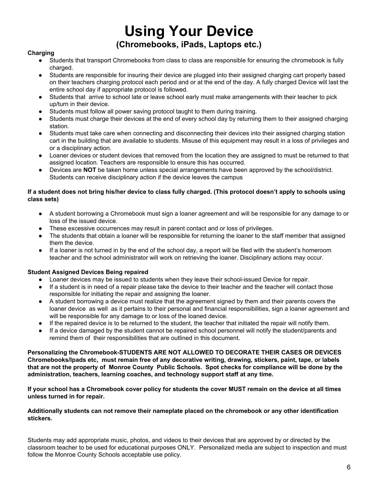# **Using Your Device (Chromebooks, iPads, Laptops etc.)**

#### **Charging**

- Students that transport Chromebooks from class to class are responsible for ensuring the chromebook is fully charged.
- Students are responsible for insuring their device are plugged into their assigned charging cart properly based on their teachers charging protocol each period and or at the end of the day. A fully charged Device will last the entire school day if appropriate protocol is followed.
- Students that arrive to school late or leave school early must make arrangements with their teacher to pick up/turn in their device.
- Students must follow all power saving protocol taught to them during training.
- Students must charge their devices at the end of every school day by returning them to their assigned charging station.
- Students must take care when connecting and disconnecting their devices into their assigned charging station cart in the building that are available to students. Misuse of this equipment may result in a loss of privileges and or a disciplinary action.
- Loaner devices or student devices that removed from the location they are assigned to must be returned to that assigned location. Teachers are responsible to ensure this has occurred.
- Devices are **NOT** be taken home unless special arrangements have been approved by the school/district. Students can receive disciplinary action if the device leaves the campus

#### If a student does not bring his/her device to class fully charged. (This protocol doesn't apply to schools using **class sets)**

- A student borrowing a Chromebook must sign a loaner agreement and will be responsible for any damage to or loss of the issued device.
- These excessive occurrences may result in parent contact and or loss of privileges.
- The students that obtain a loaner will be responsible for returning the loaner to the staff member that assigned them the device.
- If a loaner is not turned in by the end of the school day, a report will be filed with the student's homeroom teacher and the school administrator will work on retrieving the loaner. Disciplinary actions may occur.

# **Student Assigned Devices Being repaired**

- Loaner devices may be issued to students when they leave their school-issued Device for repair.
- If a student is in need of a repair please take the device to their teacher and the teacher will contact those responsible for initiating the repair and assigning the loaner.
- A student borrowing a device must realize that the agreement signed by them and their parents covers the loaner device as well as it pertains to their personal and financial responsibilities, sign a loaner agreement and will be responsible for any damage to or loss of the loaned device.
- If the repaired device is to be returned to the student, the teacher that initiated the repair will notify them.
- If a device damaged by the student cannot be repaired school personnel will notify the student/parents and remind them of their responsibilities that are outlined in this document.

**Personalizing the Chromebook-STUDENTS ARE NOT ALLOWED TO DECORATE THEIR CASES OR DEVICES Chromebooks/Ipads etc, must remain free of any decorative writing, drawing, stickers, paint, tape, or labels** that are not the property of Monroe County Public Schools. Spot checks for compliance will be done by the **administration, teachers, learning coaches, and technology support staff at any time.**

If your school has a Chromebook cover policy for students the cover MUST remain on the device at all times **unless turned in for repair.**

#### **Additionally students can not remove their nameplate placed on the chromebook or any other identification stickers.**

Students may add appropriate music, photos, and videos to their devices that are approved by or directed by the classroom teacher to be used for educational purposes ONLY. Personalized media are subject to inspection and must follow the Monroe County Schools acceptable use policy.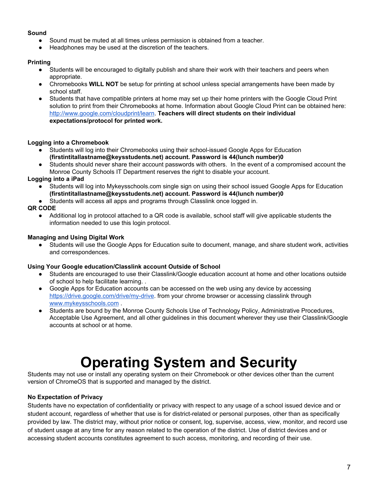#### **Sound**

- Sound must be muted at all times unless permission is obtained from a teacher.
- Headphones may be used at the discretion of the teachers.

### **Printing**

- Students will be encouraged to digitally publish and share their work with their teachers and peers when appropriate.
- Chromebooks **WILL NOT** be setup for printing at school unless special arrangements have been made by school staff.
- Students that have compatible printers at home may set up their home printers with the Google Cloud Print solution to print from their Chromebooks at home. Information about Google Cloud Print can be obtained here: [http://www.google.com/cloudprint/learn.](http://www.google.com/cloudprint/learn/) **Teachers will direct students on their individual expectations/protocol for printed work.**

# **Logging into a Chromebook**

- Students will log into their Chromebooks using their school-issued Google Apps for Education **(firstintitallastname@keysstudents.net) account. Password is 44(lunch number)0**
- Students should never share their account passwords with others. In the event of a compromised account the Monroe County Schools IT Department reserves the right to disable your account.

#### **Logging into a iPad**

- Students will log into Mykeysschools.com single sign on using their school issued Google Apps for Education **(firstintitallastname@keysstudents.net) account. Password is 44(lunch number)0**
- Students will access all apps and programs through Classlink once logged in.

#### **QR CODE**

● Additional log in protocol attached to a QR code is available, school staff will give applicable students the information needed to use this login protocol.

#### **Managing and Using Digital Work**

● Students will use the Google Apps for Education suite to document, manage, and share student work, activities and correspondences.

#### **Using Your Google education/Classlink account Outside of School**

- Students are encouraged to use their Classlink/Google education account at home and other locations outside of school to help facilitate learning. .
- Google Apps for Education accounts can be accessed on the web using any device by accessing <https://drive.google.com/drive/my-drive>. from your chrome browser or accessing classlink through [www.mykeysschools.com](http://www.mykeysschools.com/) .
- Students are bound by the Monroe County Schools Use of Technology Policy, Administrative Procedures, Acceptable Use Agreement, and all other guidelines in this document wherever they use their Classlink/Google accounts at school or at home.

# **Operating System and Security**

Students may not use or install any operating system on their Chromebook or other devices other than the current version of ChromeOS that is supported and managed by the district.

# **No Expectation of Privacy**

Students have no expectation of confidentiality or privacy with respect to any usage of a school issued device and or student account, regardless of whether that use is for district-related or personal purposes, other than as specifically provided by law. The district may, without prior notice or consent, log, supervise, access, view, monitor, and record use of student usage at any time for any reason related to the operation of the district. Use of district devices and or accessing student accounts constitutes agreement to such access, monitoring, and recording of their use.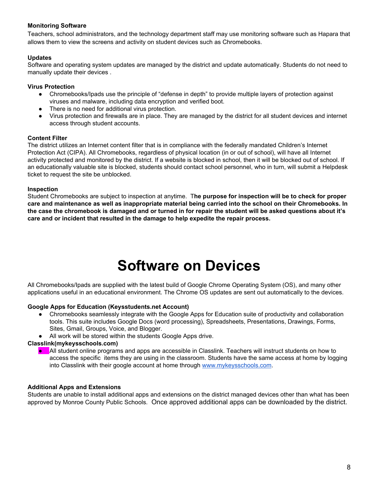#### **Monitoring Software**

Teachers, school administrators, and the technology department staff may use monitoring software such as Hapara that allows them to view the screens and activity on student devices such as Chromebooks.

#### **Updates**

Software and operating system updates are managed by the district and update automatically. Students do not need to manually update their devices .

#### **Virus Protection**

- Chromebooks/Ipads use the principle of "defense in depth" to provide multiple layers of protection against viruses and malware, including data encryption and verified boot.
- There is no need for additional virus protection.
- Virus protection and firewalls are in place. They are managed by the district for all student devices and internet access through student accounts.

#### **Content Filter**

The district utilizes an Internet content filter that is in compliance with the federally mandated Children's Internet Protection Act (CIPA). All Chromebooks, regardless of physical location (in or out of school), will have all Internet activity protected and monitored by the district. If a website is blocked in school, then it will be blocked out of school. If an educationally valuable site is blocked, students should contact school personnel, who in turn, will submit a Helpdesk ticket to request the site be unblocked.

#### **Inspection**

Student Chromebooks are subject to inspection at anytime. T**he purpose for inspection will be to check for proper** care and maintenance as well as inappropriate material being carried into the school on their Chromebooks. In the case the chromebook is damaged and or turned in for repair the student will be asked questions about it's **care and or incident that resulted in the damage to help expedite the repair process.**

# **Software on Devices**

All Chromebooks/Ipads are supplied with the latest build of Google Chrome Operating System (OS), and many other applications useful in an educational environment. The Chrome OS updates are sent out automatically to the devices.

#### **Google Apps for Education (Keysstudents.net Account)**

- Chromebooks seamlessly integrate with the Google Apps for Education suite of productivity and collaboration tools. This suite includes Google Docs (word processing), Spreadsheets, Presentations, Drawings, Forms, Sites, Gmail, Groups, Voice, and Blogger.
- All work will be stored within the students Google Apps drive.

#### **Classlink(mykeysschools.com)**

**•** All student online programs and apps are accessible in Classlink. Teachers will instruct students on how to access the specific items they are using in the classroom. Students have the same access at home by logging into Classlink with their google account at home through [www.mykeysschools.com.](http://www.mykeysschools.com/)

#### **Additional Apps and Extensions**

Students are unable to install additional apps and extensions on the district managed devices other than what has been approved by Monroe County Public Schools. Once approved additional apps can be downloaded by the district.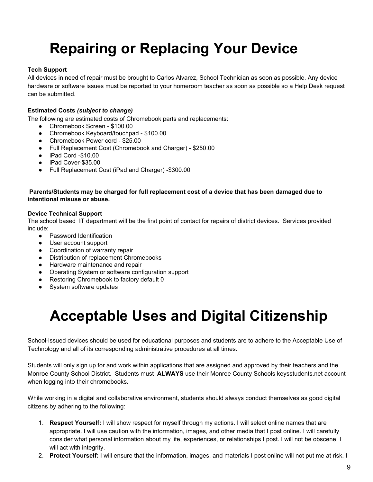# **Repairing or Replacing Your Device**

### **Tech Support**

All devices in need of repair must be brought to Carlos Alvarez, School Technician as soon as possible. Any device hardware or software issues must be reported to your homeroom teacher as soon as possible so a Help Desk request can be submitted.

#### **Estimated Costs** *(subject to change)*

The following are estimated costs of Chromebook parts and replacements:

- Chromebook Screen \$100.00
- Chromebook Keyboard/touchpad \$100.00
- Chromebook Power cord \$25.00
- Full Replacement Cost (Chromebook and Charger) \$250.00
- iPad Cord -\$10.00
- iPad Cover-\$35.00
- Full Replacement Cost (iPad and Charger) -\$300.00

#### **Parents/Students may be charged for full replacement cost of a device that has been damaged due to intentional misuse or abuse.**

#### **Device Technical Support**

The school based IT department will be the first point of contact for repairs of district devices. Services provided include:

- Password Identification
- User account support
- Coordination of warranty repair
- Distribution of replacement Chromebooks
- Hardware maintenance and repair
- Operating System or software configuration support
- Restoring Chromebook to factory default 0
- System software updates

# **Acceptable Uses and Digital Citizenship**

School-issued devices should be used for educational purposes and students are to adhere to the Acceptable Use of Technology and all of its corresponding administrative procedures at all times.

Students will only sign up for and work within applications that are assigned and approved by their teachers and the Monroe County School District. Students must **ALWAYS** use their Monroe County Schools keysstudents.net account when logging into their chromebooks.

While working in a digital and collaborative environment, students should always conduct themselves as good digital citizens by adhering to the following:

- 1. **Respect Yourself:** I will show respect for myself through my actions. I will select online names that are appropriate. I will use caution with the information, images, and other media that I post online. I will carefully consider what personal information about my life, experiences, or relationships I post. I will not be obscene. I will act with integrity.
- 2. **Protect Yourself:** I will ensure that the information, images, and materials I post online will not put me at risk. I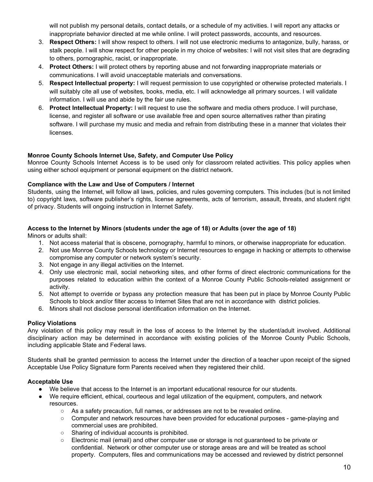will not publish my personal details, contact details, or a schedule of my activities. I will report any attacks or inappropriate behavior directed at me while online. I will protect passwords, accounts, and resources.

- 3. **Respect Others:** I will show respect to others. I will not use electronic mediums to antagonize, bully, harass, or stalk people. I will show respect for other people in my choice of websites: I will not visit sites that are degrading to others, pornographic, racist, or inappropriate.
- 4. **Protect Others:** I will protect others by reporting abuse and not forwarding inappropriate materials or communications. I will avoid unacceptable materials and conversations.
- 5. **Respect Intellectual property:** I will request permission to use copyrighted or otherwise protected materials. I will suitably cite all use of websites, books, media, etc. I will acknowledge all primary sources. I will validate information. I will use and abide by the fair use rules.
- 6. **Protect Intellectual Property:** I will request to use the software and media others produce. I will purchase, license, and register all software or use available free and open source alternatives rather than pirating software. I will purchase my music and media and refrain from distributing these in a manner that violates their licenses.

#### **Monroe County Schools Internet Use, Safety, and Computer Use Policy**

Monroe County Schools Internet Access is to be used only for classroom related activities. This policy applies when using either school equipment or personal equipment on the district network.

#### **Compliance with the Law and Use of Computers / Internet**

Students, using the Internet, will follow all laws, policies, and rules governing computers. This includes (but is not limited to) copyright laws, software publisher's rights, license agreements, acts of terrorism, assault, threats, and student right of privacy. Students will ongoing instruction in Internet Safety.

#### Access to the Internet by Minors (students under the age of 18) or Adults (over the age of 18)

Minors or adults shall:

- 1. Not access material that is obscene, pornography, harmful to minors, or otherwise inappropriate for education.
- 2. Not use Monroe County Schools technology or Internet resources to engage in hacking or attempts to otherwise compromise any computer or network system's security.
- 3. Not engage in any illegal activities on the Internet.
- 4. Only use electronic mail, social networking sites, and other forms of direct electronic communications for the purposes related to education within the context of a Monroe County Public Schools-related assignment or activity.
- 5. Not attempt to override or bypass any protection measure that has been put in place by Monroe County Public Schools to block and/or filter access to Internet Sites that are not in accordance with district policies.
- 6. Minors shall not disclose personal identification information on the Internet.

#### **Policy Violations**

Any violation of this policy may result in the loss of access to the Internet by the student/adult involved. Additional disciplinary action may be determined in accordance with existing policies of the Monroe County Public Schools, including applicable State and Federal laws.

Students shall be granted permission to access the Internet under the direction of a teacher upon receipt of the signed Acceptable Use Policy Signature form Parents received when they registered their child.

#### **Acceptable Use**

- We believe that access to the Internet is an important educational resource for our students.
- We require efficient, ethical, courteous and legal utilization of the equipment, computers, and network resources.
	- As a safety precaution, full names, or addresses are not to be revealed online.
	- Computer and network resources have been provided for educational purposes game-playing and commercial uses are prohibited.
	- Sharing of individual accounts is prohibited.
	- Electronic mail (email) and other computer use or storage is not guaranteed to be private or confidential. Network or other computer use or storage areas are and will be treated as school property. Computers, files and communications may be accessed and reviewed by district personnel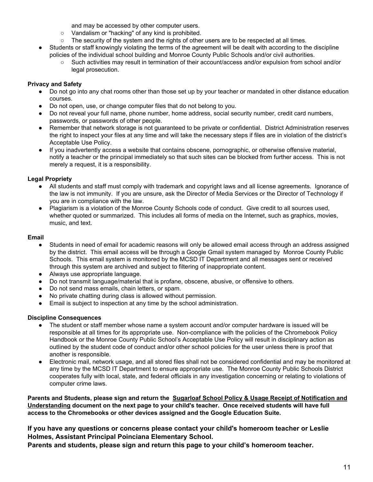and may be accessed by other computer users.

- Vandalism or "hacking" of any kind is prohibited.
- The security of the system and the rights of other users are to be respected at all times.
- Students or staff knowingly violating the terms of the agreement will be dealt with according to the discipline policies of the individual school building and Monroe County Public Schools and/or civil authorities.
	- Such activities may result in termination of their account/access and/or expulsion from school and/or legal prosecution.

# **Privacy and Safety**

- Do not go into any chat rooms other than those set up by your teacher or mandated in other distance education courses.
- Do not open, use, or change computer files that do not belong to you.
- Do not reveal your full name, phone number, home address, social security number, credit card numbers, passwords, or passwords of other people.
- Remember that network storage is not guaranteed to be private or confidential. District Administration reserves the right to inspect your files at any time and will take the necessary steps if files are in violation of the district's Acceptable Use Policy.
- If you inadvertently access a website that contains obscene, pornographic, or otherwise offensive material, notify a teacher or the principal immediately so that such sites can be blocked from further access. This is not merely a request, it is a responsibility.

# **Legal Propriety**

- All students and staff must comply with trademark and copyright laws and all license agreements. Ignorance of the law is not immunity. If you are unsure, ask the Director of Media Services or the Director of Technology if you are in compliance with the law.
- Plagiarism is a violation of the Monroe County Schools code of conduct. Give credit to all sources used, whether quoted or summarized. This includes all forms of media on the Internet, such as graphics, movies, music, and text.

# **Email**

- Students in need of email for academic reasons will only be allowed email access through an address assigned by the district. This email access will be through a Google Gmail system managed by Monroe County Public Schools. This email system is monitored by the MCSD IT Department and all messages sent or received through this system are archived and subject to filtering of inappropriate content.
- Always use appropriate language.
- Do not transmit language/material that is profane, obscene, abusive, or offensive to others.
- Do not send mass emails, chain letters, or spam.
- No private chatting during class is allowed without permission.
- Email is subject to inspection at any time by the school administration.

# **Discipline Consequences**

- The student or staff member whose name a system account and/or computer hardware is issued will be responsible at all times for its appropriate use. Non-compliance with the policies of the Chromebook Policy Handbook or the Monroe County Public School's Acceptable Use Policy will result in disciplinary action as outlined by the student code of conduct and/or other school policies for the user unless there is proof that another is responsible.
- Electronic mail, network usage, and all stored files shall not be considered confidential and may be monitored at any time by the MCSD IT Department to ensure appropriate use. The Monroe County Public Schools District cooperates fully with local, state, and federal officials in any investigation concerning or relating to violations of computer crime laws.

Parents and Students, please sign and return the Sugarloaf School Policy & Usage Receipt of Notification and **Understanding document on the next page to your child's teacher. Once received students will have full access to the Chromebooks or other devices assigned and the Google Education Suite.**

**If you have any questions or concerns please contact your child's homeroom teacher or Leslie Holmes, Assistant Principal Poinciana Elementary School.**

**Parents and students, please sign and return this page to your child's homeroom teacher.**